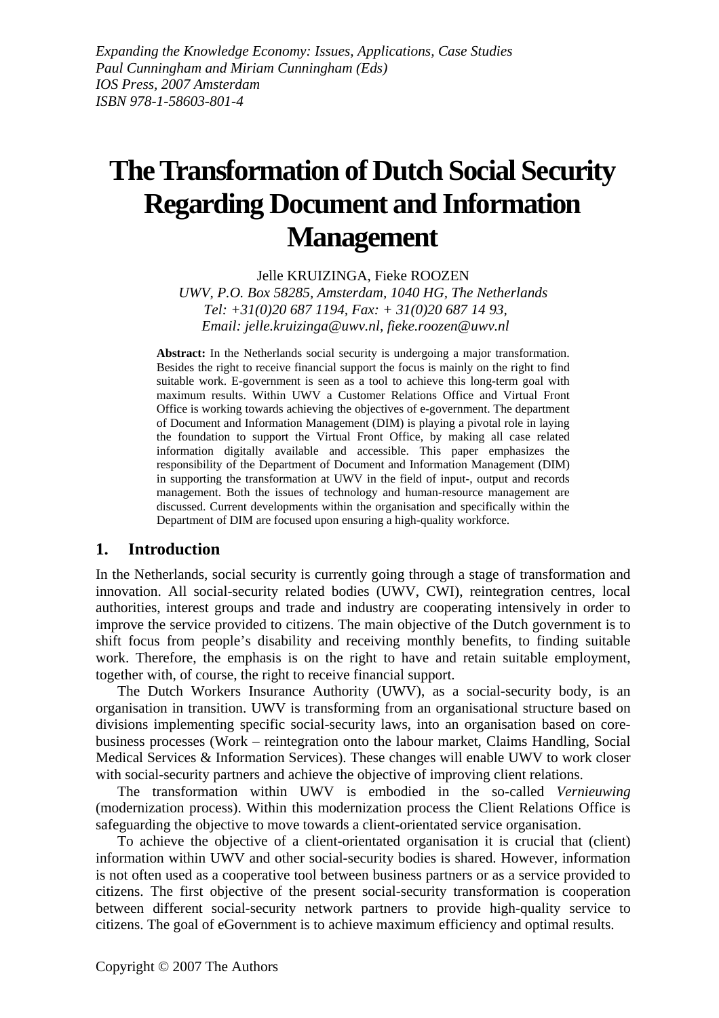# **The Transformation of Dutch Social Security Regarding Document and Information Management**

Jelle KRUIZINGA, Fieke ROOZEN *UWV, P.O. Box 58285, Amsterdam, 1040 HG, The Netherlands Tel: +31(0)20 687 1194, Fax: + 31(0)20 687 14 93, Email: jelle.kruizinga@uwv.nl, fieke.roozen@uwv.nl* 

Abstract: In the Netherlands social security is undergoing a major transformation. Besides the right to receive financial support the focus is mainly on the right to find suitable work. E-government is seen as a tool to achieve this long-term goal with maximum results. Within UWV a Customer Relations Office and Virtual Front Office is working towards achieving the objectives of e-government. The department of Document and Information Management (DIM) is playing a pivotal role in laying the foundation to support the Virtual Front Office, by making all case related information digitally available and accessible. This paper emphasizes the responsibility of the Department of Document and Information Management (DIM) in supporting the transformation at UWV in the field of input-, output and records management. Both the issues of technology and human-resource management are discussed. Current developments within the organisation and specifically within the Department of DIM are focused upon ensuring a high-quality workforce.

# **1. Introduction**

In the Netherlands, social security is currently going through a stage of transformation and innovation. All social-security related bodies (UWV, CWI), reintegration centres, local authorities, interest groups and trade and industry are cooperating intensively in order to improve the service provided to citizens. The main objective of the Dutch government is to shift focus from people's disability and receiving monthly benefits, to finding suitable work. Therefore, the emphasis is on the right to have and retain suitable employment, together with, of course, the right to receive financial support.

The Dutch Workers Insurance Authority (UWV), as a social-security body, is an organisation in transition. UWV is transforming from an organisational structure based on divisions implementing specific social-security laws, into an organisation based on corebusiness processes (Work – reintegration onto the labour market, Claims Handling, Social Medical Services & Information Services). These changes will enable UWV to work closer with social-security partners and achieve the objective of improving client relations.

The transformation within UWV is embodied in the so-called *Vernieuwing* (modernization process). Within this modernization process the Client Relations Office is safeguarding the objective to move towards a client-orientated service organisation.

To achieve the objective of a client-orientated organisation it is crucial that (client) information within UWV and other social-security bodies is shared. However, information is not often used as a cooperative tool between business partners or as a service provided to citizens. The first objective of the present social-security transformation is cooperation between different social-security network partners to provide high-quality service to citizens. The goal of eGovernment is to achieve maximum efficiency and optimal results.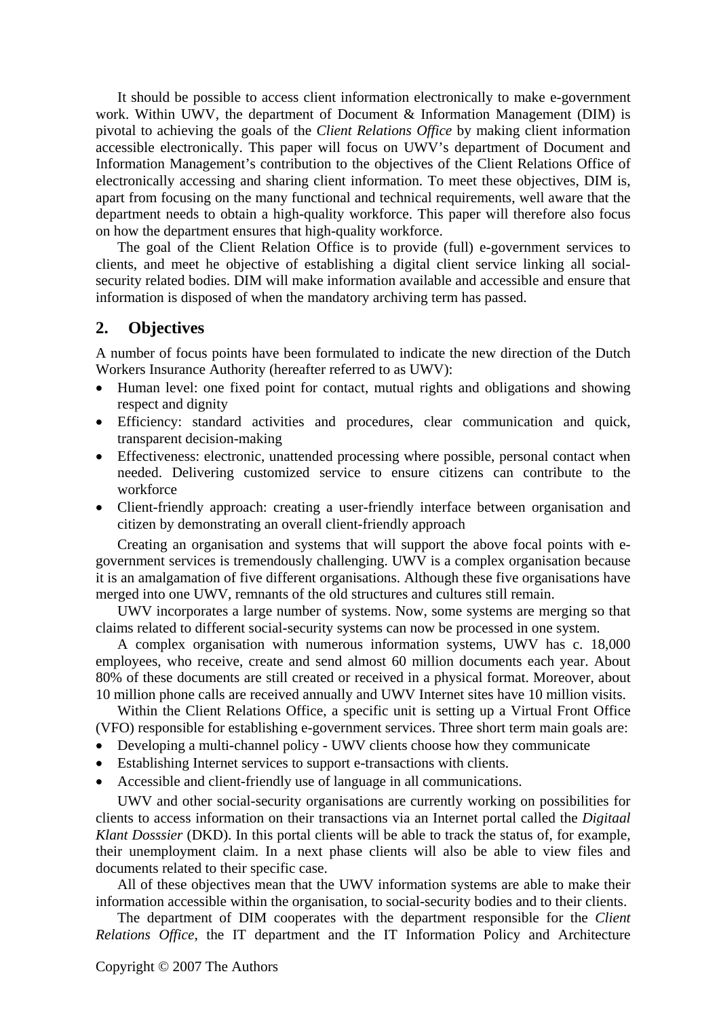It should be possible to access client information electronically to make e-government work. Within UWV, the department of Document & Information Management (DIM) is pivotal to achieving the goals of the *Client Relations Office* by making client information accessible electronically. This paper will focus on UWV's department of Document and Information Management's contribution to the objectives of the Client Relations Office of electronically accessing and sharing client information. To meet these objectives, DIM is, apart from focusing on the many functional and technical requirements, well aware that the department needs to obtain a high-quality workforce. This paper will therefore also focus on how the department ensures that high-quality workforce.

The goal of the Client Relation Office is to provide (full) e-government services to clients, and meet he objective of establishing a digital client service linking all socialsecurity related bodies. DIM will make information available and accessible and ensure that information is disposed of when the mandatory archiving term has passed.

# **2. Objectives**

A number of focus points have been formulated to indicate the new direction of the Dutch Workers Insurance Authority (hereafter referred to as UWV):

- Human level: one fixed point for contact, mutual rights and obligations and showing respect and dignity
- Efficiency: standard activities and procedures, clear communication and quick, transparent decision-making
- Effectiveness: electronic, unattended processing where possible, personal contact when needed. Delivering customized service to ensure citizens can contribute to the workforce
- Client-friendly approach: creating a user-friendly interface between organisation and citizen by demonstrating an overall client-friendly approach

Creating an organisation and systems that will support the above focal points with egovernment services is tremendously challenging. UWV is a complex organisation because it is an amalgamation of five different organisations. Although these five organisations have merged into one UWV, remnants of the old structures and cultures still remain.

UWV incorporates a large number of systems. Now, some systems are merging so that claims related to different social-security systems can now be processed in one system.

A complex organisation with numerous information systems, UWV has c. 18,000 employees, who receive, create and send almost 60 million documents each year. About 80% of these documents are still created or received in a physical format. Moreover, about 10 million phone calls are received annually and UWV Internet sites have 10 million visits.

Within the Client Relations Office, a specific unit is setting up a Virtual Front Office (VFO) responsible for establishing e-government services. Three short term main goals are:

- Developing a multi-channel policy UWV clients choose how they communicate
- Establishing Internet services to support e-transactions with clients.
- Accessible and client-friendly use of language in all communications.

UWV and other social-security organisations are currently working on possibilities for clients to access information on their transactions via an Internet portal called the *Digitaal Klant Dosssier* (DKD). In this portal clients will be able to track the status of, for example, their unemployment claim. In a next phase clients will also be able to view files and documents related to their specific case.

All of these objectives mean that the UWV information systems are able to make their information accessible within the organisation, to social-security bodies and to their clients.

The department of DIM cooperates with the department responsible for the *Client Relations Office*, the IT department and the IT Information Policy and Architecture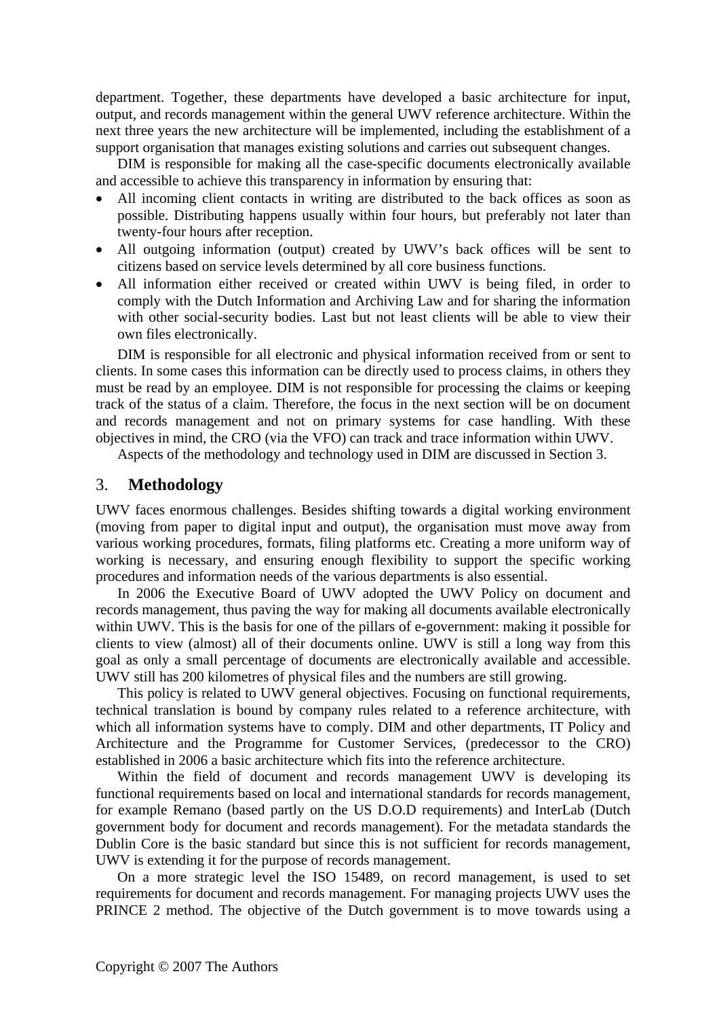department. Together, these departments have developed a basic architecture for input, output, and records management within the general UWV reference architecture. Within the next three years the new architecture will be implemented, including the establishment of a support organisation that manages existing solutions and carries out subsequent changes.

DIM is responsible for making all the case-specific documents electronically available and accessible to achieve this transparency in information by ensuring that:

- All incoming client contacts in writing are distributed to the back offices as soon as possible. Distributing happens usually within four hours, but preferably not later than twenty-four hours after reception.
- All outgoing information (output) created by UWV's back offices will be sent to citizens based on service levels determined by all core business functions.
- All information either received or created within UWV is being filed, in order to comply with the Dutch Information and Archiving Law and for sharing the information with other social-security bodies. Last but not least clients will be able to view their own files electronically.

DIM is responsible for all electronic and physical information received from or sent to clients. In some cases this information can be directly used to process claims, in others they must be read by an employee. DIM is not responsible for processing the claims or keeping track of the status of a claim. Therefore, the focus in the next section will be on document and records management and not on primary systems for case handling. With these objectives in mind, the CRO (via the VFO) can track and trace information within UWV.

Aspects of the methodology and technology used in DIM are discussed in Section 3.

#### 3. **Methodology**

UWV faces enormous challenges. Besides shifting towards a digital working environment (moving from paper to digital input and output), the organisation must move away from various working procedures, formats, filing platforms etc. Creating a more uniform way of working is necessary, and ensuring enough flexibility to support the specific working procedures and information needs of the various departments is also essential.

In 2006 the Executive Board of UWV adopted the UWV Policy on document and records management, thus paving the way for making all documents available electronically within UWV. This is the basis for one of the pillars of e-government: making it possible for clients to view (almost) all of their documents online. UWV is still a long way from this goal as only a small percentage of documents are electronically available and accessible. UWV still has 200 kilometres of physical files and the numbers are still growing.

This policy is related to UWV general objectives. Focusing on functional requirements, technical translation is bound by company rules related to a reference architecture, with which all information systems have to comply. DIM and other departments, IT Policy and Architecture and the Programme for Customer Services, (predecessor to the CRO) established in 2006 a basic architecture which fits into the reference architecture.

Within the field of document and records management UWV is developing its functional requirements based on local and international standards for records management, for example Remano (based partly on the US D.O.D requirements) and InterLab (Dutch government body for document and records management). For the metadata standards the Dublin Core is the basic standard but since this is not sufficient for records management, UWV is extending it for the purpose of records management.

On a more strategic level the ISO 15489, on record management, is used to set requirements for document and records management. For managing projects UWV uses the PRINCE 2 method. The objective of the Dutch government is to move towards using a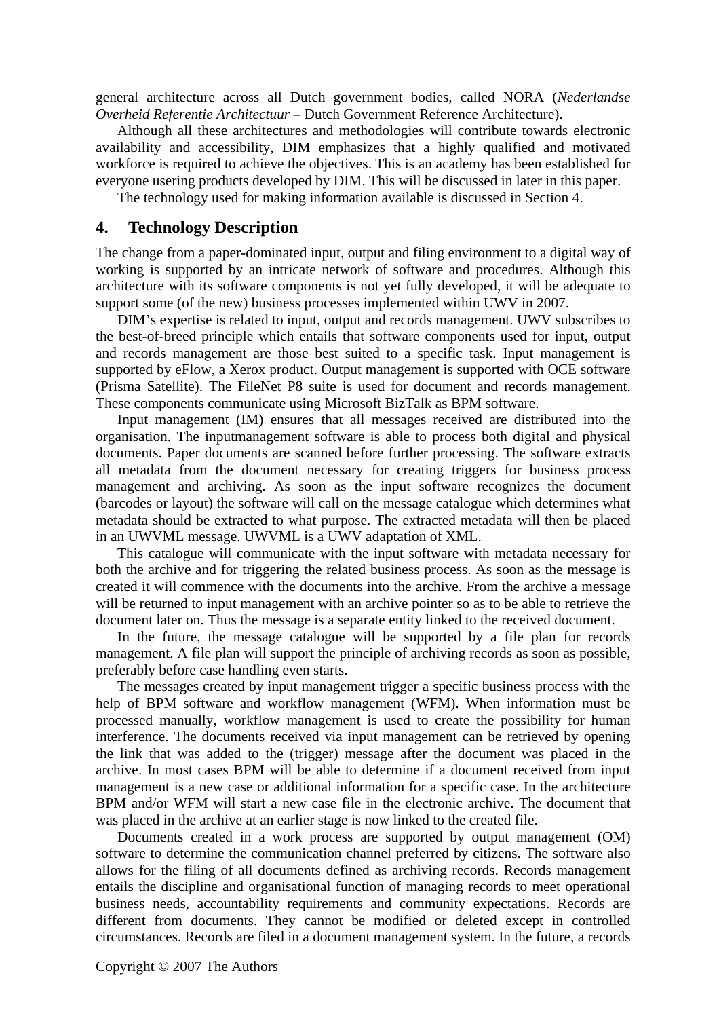general architecture across all Dutch government bodies, called NORA (*Nederlandse Overheid Referentie Architectuur* – Dutch Government Reference Architecture).

Although all these architectures and methodologies will contribute towards electronic availability and accessibility, DIM emphasizes that a highly qualified and motivated workforce is required to achieve the objectives. This is an academy has been established for everyone usering products developed by DIM. This will be discussed in later in this paper.

The technology used for making information available is discussed in Section 4.

## **4. Technology Description**

The change from a paper-dominated input, output and filing environment to a digital way of working is supported by an intricate network of software and procedures. Although this architecture with its software components is not yet fully developed, it will be adequate to support some (of the new) business processes implemented within UWV in 2007.

DIM's expertise is related to input, output and records management. UWV subscribes to the best-of-breed principle which entails that software components used for input, output and records management are those best suited to a specific task. Input management is supported by eFlow, a Xerox product. Output management is supported with OCE software (Prisma Satellite). The FileNet P8 suite is used for document and records management. These components communicate using Microsoft BizTalk as BPM software.

Input management (IM) ensures that all messages received are distributed into the organisation. The inputmanagement software is able to process both digital and physical documents. Paper documents are scanned before further processing. The software extracts all metadata from the document necessary for creating triggers for business process management and archiving. As soon as the input software recognizes the document (barcodes or layout) the software will call on the message catalogue which determines what metadata should be extracted to what purpose. The extracted metadata will then be placed in an UWVML message. UWVML is a UWV adaptation of XML.

This catalogue will communicate with the input software with metadata necessary for both the archive and for triggering the related business process. As soon as the message is created it will commence with the documents into the archive. From the archive a message will be returned to input management with an archive pointer so as to be able to retrieve the document later on. Thus the message is a separate entity linked to the received document.

In the future, the message catalogue will be supported by a file plan for records management. A file plan will support the principle of archiving records as soon as possible, preferably before case handling even starts.

The messages created by input management trigger a specific business process with the help of BPM software and workflow management (WFM). When information must be processed manually, workflow management is used to create the possibility for human interference. The documents received via input management can be retrieved by opening the link that was added to the (trigger) message after the document was placed in the archive. In most cases BPM will be able to determine if a document received from input management is a new case or additional information for a specific case. In the architecture BPM and/or WFM will start a new case file in the electronic archive. The document that was placed in the archive at an earlier stage is now linked to the created file.

Documents created in a work process are supported by output management (OM) software to determine the communication channel preferred by citizens. The software also allows for the filing of all documents defined as archiving records. Records management entails the discipline and organisational function of managing records to meet operational business needs, accountability requirements and community expectations. Records are different from documents. They cannot be modified or deleted except in controlled circumstances. Records are filed in a document management system. In the future, a records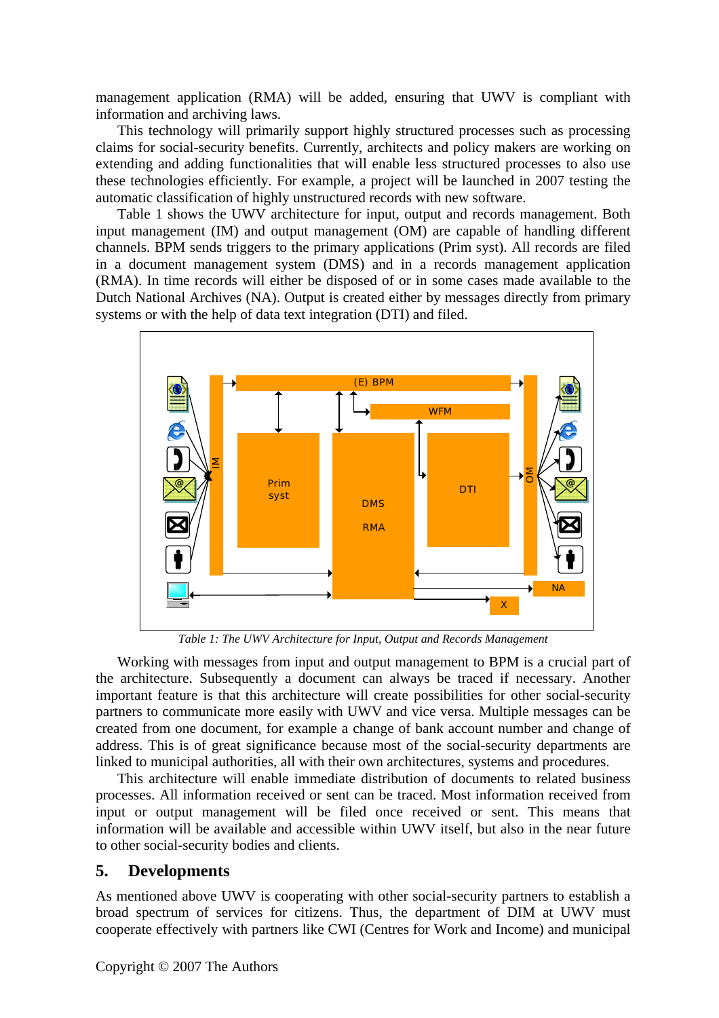management application (RMA) will be added, ensuring that UWV is compliant with information and archiving laws.

This technology will primarily support highly structured processes such as processing claims for social-security benefits. Currently, architects and policy makers are working on extending and adding functionalities that will enable less structured processes to also use these technologies efficiently. For example, a project will be launched in 2007 testing the automatic classification of highly unstructured records with new software.

Table 1 shows the UWV architecture for input, output and records management. Both input management (IM) and output management (OM) are capable of handling different channels. BPM sends triggers to the primary applications (Prim syst). All records are filed in a document management system (DMS) and in a records management application (RMA). In time records will either be disposed of or in some cases made available to the Dutch National Archives (NA). Output is created either by messages directly from primary systems or with the help of data text integration (DTI) and filed.



*Table 1: The UWV Architecture for Input, Output and Records Management*

Working with messages from input and output management to BPM is a crucial part of the architecture. Subsequently a document can always be traced if necessary. Another important feature is that this architecture will create possibilities for other social-security partners to communicate more easily with UWV and vice versa. Multiple messages can be created from one document, for example a change of bank account number and change of address. This is of great significance because most of the social-security departments are linked to municipal authorities, all with their own architectures, systems and procedures.

This architecture will enable immediate distribution of documents to related business processes. All information received or sent can be traced. Most information received from input or output management will be filed once received or sent. This means that information will be available and accessible within UWV itself, but also in the near future to other social-security bodies and clients.

# **5. Developments**

As mentioned above UWV is cooperating with other social-security partners to establish a broad spectrum of services for citizens. Thus, the department of DIM at UWV must cooperate effectively with partners like CWI (Centres for Work and Income) and municipal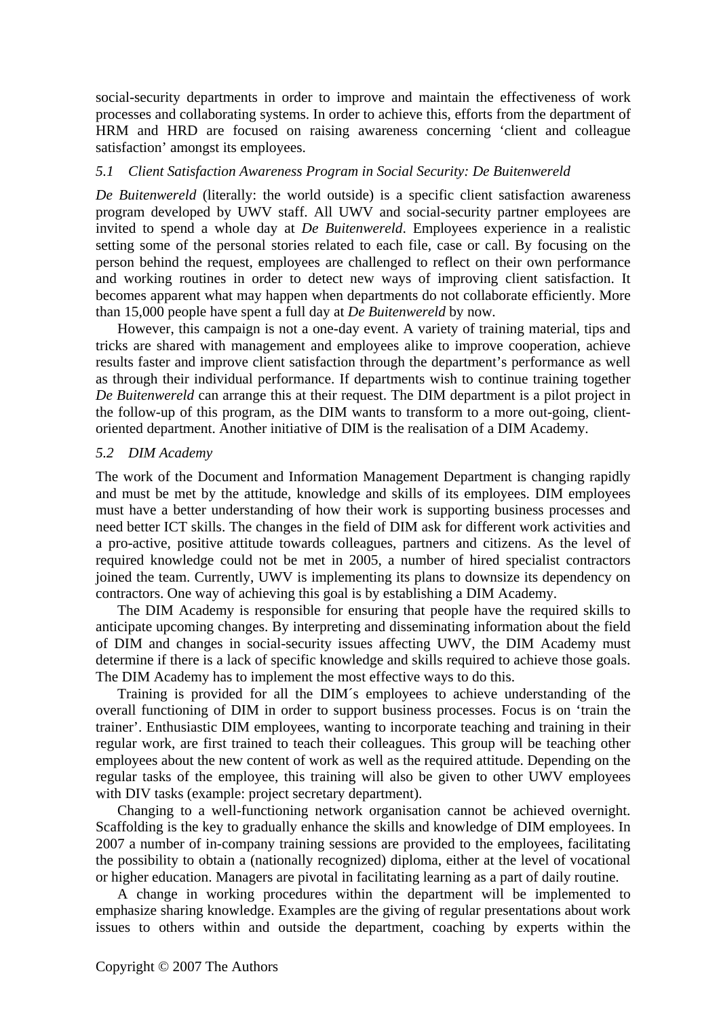social-security departments in order to improve and maintain the effectiveness of work processes and collaborating systems. In order to achieve this, efforts from the department of HRM and HRD are focused on raising awareness concerning 'client and colleague satisfaction' amongst its employees.

#### *5.1 Client Satisfaction Awareness Program in Social Security: De Buitenwereld*

*De Buitenwereld* (literally: the world outside) is a specific client satisfaction awareness program developed by UWV staff. All UWV and social-security partner employees are invited to spend a whole day at *De Buitenwereld*. Employees experience in a realistic setting some of the personal stories related to each file, case or call. By focusing on the person behind the request, employees are challenged to reflect on their own performance and working routines in order to detect new ways of improving client satisfaction. It becomes apparent what may happen when departments do not collaborate efficiently. More than 15,000 people have spent a full day at *De Buitenwereld* by now*.*

However, this campaign is not a one-day event. A variety of training material, tips and tricks are shared with management and employees alike to improve cooperation, achieve results faster and improve client satisfaction through the department's performance as well as through their individual performance. If departments wish to continue training together *De Buitenwereld* can arrange this at their request. The DIM department is a pilot project in the follow-up of this program, as the DIM wants to transform to a more out-going, clientoriented department. Another initiative of DIM is the realisation of a DIM Academy.

#### *5.2 DIM Academy*

The work of the Document and Information Management Department is changing rapidly and must be met by the attitude, knowledge and skills of its employees. DIM employees must have a better understanding of how their work is supporting business processes and need better ICT skills. The changes in the field of DIM ask for different work activities and a pro-active, positive attitude towards colleagues, partners and citizens. As the level of required knowledge could not be met in 2005, a number of hired specialist contractors joined the team. Currently, UWV is implementing its plans to downsize its dependency on contractors. One way of achieving this goal is by establishing a DIM Academy.

The DIM Academy is responsible for ensuring that people have the required skills to anticipate upcoming changes. By interpreting and disseminating information about the field of DIM and changes in social-security issues affecting UWV, the DIM Academy must determine if there is a lack of specific knowledge and skills required to achieve those goals. The DIM Academy has to implement the most effective ways to do this.

Training is provided for all the DIM´s employees to achieve understanding of the overall functioning of DIM in order to support business processes. Focus is on 'train the trainer'. Enthusiastic DIM employees, wanting to incorporate teaching and training in their regular work, are first trained to teach their colleagues. This group will be teaching other employees about the new content of work as well as the required attitude. Depending on the regular tasks of the employee, this training will also be given to other UWV employees with DIV tasks (example: project secretary department).

Changing to a well-functioning network organisation cannot be achieved overnight. Scaffolding is the key to gradually enhance the skills and knowledge of DIM employees. In 2007 a number of in-company training sessions are provided to the employees, facilitating the possibility to obtain a (nationally recognized) diploma, either at the level of vocational or higher education. Managers are pivotal in facilitating learning as a part of daily routine.

A change in working procedures within the department will be implemented to emphasize sharing knowledge. Examples are the giving of regular presentations about work issues to others within and outside the department, coaching by experts within the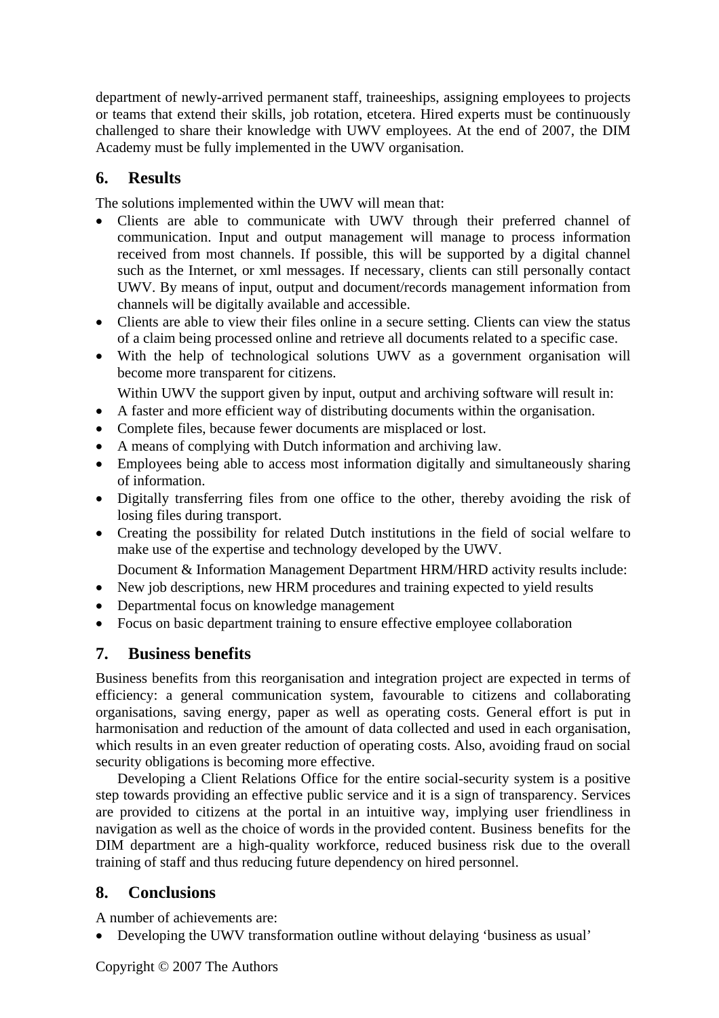department of newly-arrived permanent staff, traineeships, assigning employees to projects or teams that extend their skills, job rotation, etcetera. Hired experts must be continuously challenged to share their knowledge with UWV employees. At the end of 2007, the DIM Academy must be fully implemented in the UWV organisation.

# **6. Results**

The solutions implemented within the UWV will mean that:

- Clients are able to communicate with UWV through their preferred channel of communication. Input and output management will manage to process information received from most channels. If possible, this will be supported by a digital channel such as the Internet, or xml messages. If necessary, clients can still personally contact UWV. By means of input, output and document/records management information from channels will be digitally available and accessible.
- Clients are able to view their files online in a secure setting. Clients can view the status of a claim being processed online and retrieve all documents related to a specific case.
- With the help of technological solutions UWV as a government organisation will become more transparent for citizens.

Within UWV the support given by input, output and archiving software will result in:

- A faster and more efficient way of distributing documents within the organisation.
- Complete files, because fewer documents are misplaced or lost.
- A means of complying with Dutch information and archiving law.
- Employees being able to access most information digitally and simultaneously sharing of information.
- Digitally transferring files from one office to the other, thereby avoiding the risk of losing files during transport.
- Creating the possibility for related Dutch institutions in the field of social welfare to make use of the expertise and technology developed by the UWV.

Document & Information Management Department HRM/HRD activity results include:

- New job descriptions, new HRM procedures and training expected to yield results
- Departmental focus on knowledge management
- Focus on basic department training to ensure effective employee collaboration

# **7. Business benefits**

Business benefits from this reorganisation and integration project are expected in terms of efficiency: a general communication system, favourable to citizens and collaborating organisations, saving energy, paper as well as operating costs. General effort is put in harmonisation and reduction of the amount of data collected and used in each organisation, which results in an even greater reduction of operating costs. Also, avoiding fraud on social security obligations is becoming more effective.

Developing a Client Relations Office for the entire social-security system is a positive step towards providing an effective public service and it is a sign of transparency. Services are provided to citizens at the portal in an intuitive way, implying user friendliness in navigation as well as the choice of words in the provided content. Business benefits for the DIM department are a high-quality workforce, reduced business risk due to the overall training of staff and thus reducing future dependency on hired personnel.

# **8. Conclusions**

A number of achievements are:

• Developing the UWV transformation outline without delaying 'business as usual'